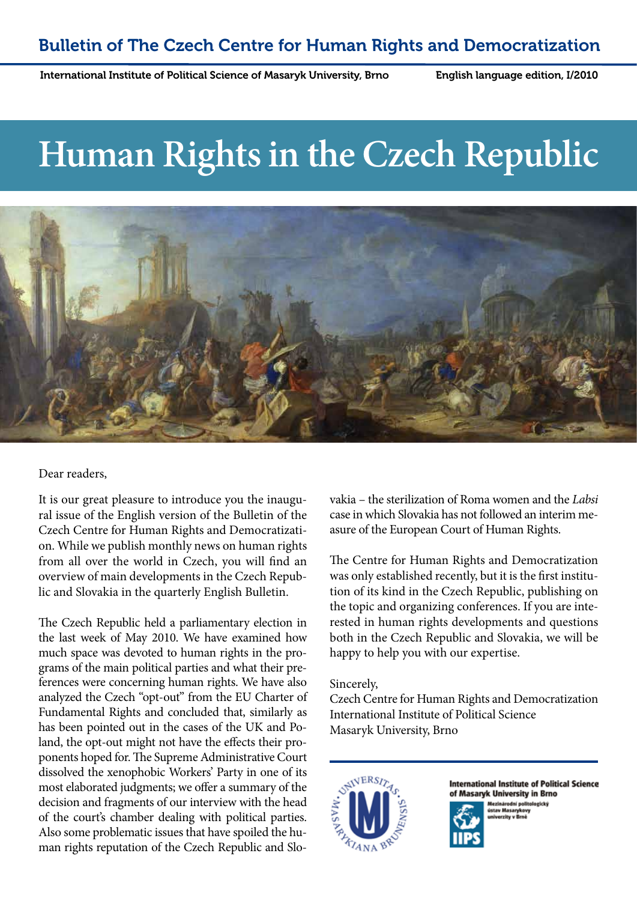English language edition, I/2010

# **Human Rights in the Czech Republic**



#### Dear readers,

It is our great pleasure to introduce you the inaugural issue of the English version of the Bulletin of the Czech Centre for Human Rights and Democratization. While we publish monthly news on human rights from all over the world in Czech, you will find an overview of main developments in the Czech Republic and Slovakia in the quarterly English Bulletin.

The Czech Republic held a parliamentary election in the last week of May 2010. We have examined how much space was devoted to human rights in the programs of the main political parties and what their preferences were concerning human rights. We have also analyzed the Czech "opt-out" from the EU Charter of Fundamental Rights and concluded that, similarly as has been pointed out in the cases of the UK and Poland, the opt-out might not have the effects their proponents hoped for. The Supreme Administrative Court dissolved the xenophobic Workers' Party in one of its most elaborated judgments; we offer a summary of the decision and fragments of our interview with the head of the court's chamber dealing with political parties. Also some problematic issues that have spoiled the human rights reputation of the Czech Republic and Slovakia – the sterilization of Roma women and the *Labsi* case in which Slovakia has not followed an interim measure of the European Court of Human Rights.

The Centre for Human Rights and Democratization was only established recently, but it is the first institution of its kind in the Czech Republic, publishing on the topic and organizing conferences. If you are interested in human rights developments and questions both in the Czech Republic and Slovakia, we will be happy to help you with our expertise.

Sincerely,

Czech Centre for Human Rights and Democratization International Institute of Political Science Masaryk University, Brno



**International Institute of Political Science** of Masaryk University in Brno



Mezinárodní polit<br>ústav Masarykovy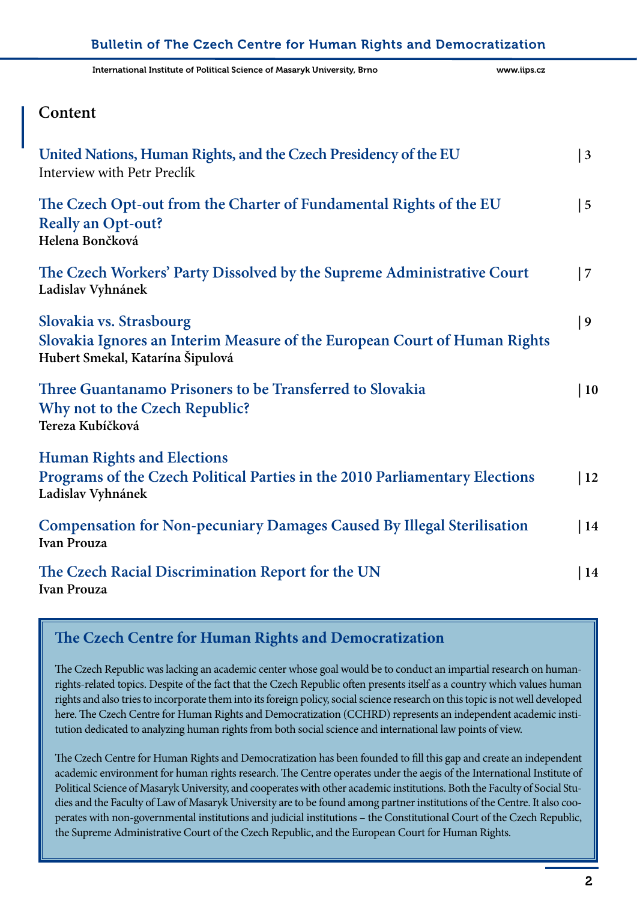| International Institute of Political Science of Masaryk University, Brno                                                                 | www.iips.cz     |
|------------------------------------------------------------------------------------------------------------------------------------------|-----------------|
| Content                                                                                                                                  |                 |
| United Nations, Human Rights, and the Czech Presidency of the EU<br>Interview with Petr Preclík                                          | $\vert 3 \vert$ |
| The Czech Opt-out from the Charter of Fundamental Rights of the EU<br><b>Really an Opt-out?</b><br>Helena Bončková                       | $\vert 5 \vert$ |
| The Czech Workers' Party Dissolved by the Supreme Administrative Court<br>Ladislav Vyhnánek                                              | 7               |
| Slovakia vs. Strasbourg<br>Slovakia Ignores an Interim Measure of the European Court of Human Rights<br>Hubert Smekal, Katarína Šipulová | 9               |
| Three Guantanamo Prisoners to be Transferred to Slovakia<br>Why not to the Czech Republic?<br>Tereza Kubíčková                           | $\vert$ 10      |
| <b>Human Rights and Elections</b><br>Programs of the Czech Political Parties in the 2010 Parliamentary Elections<br>Ladislav Vyhnánek    | $\vert$ 12      |
| <b>Compensation for Non-pecuniary Damages Caused By Illegal Sterilisation</b><br><b>Ivan Prouza</b>                                      | $\vert$ 14      |
| The Czech Racial Discrimination Report for the UN<br><b>Ivan Prouza</b>                                                                  | 14              |

### **The Czech Centre for Human Rights and Democratization**

The Czech Republic was lacking an academic center whose goal would be to conduct an impartial research on humanrights-related topics. Despite of the fact that the Czech Republic often presents itself as a country which values human rights and also tries to incorporate them into its foreign policy, social science research on this topic is not well developed here. The Czech Centre for Human Rights and Democratization (CCHRD) represents an independent academic institution dedicated to analyzing human rights from both social science and international law points of view.

The Czech Centre for Human Rights and Democratization has been founded to fill this gap and create an independent academic environment for human rights research. The Centre operates under the aegis of the International Institute of Political Science of Masaryk University, and cooperates with other academic institutions. Both the Faculty of Social Studies and the Faculty of Law of Masaryk University are to be found among partner institutions of the Centre. It also cooperates with non-governmental institutions and judicial institutions – the Constitutional Court of the Czech Republic, the Supreme Administrative Court of the Czech Republic, and the European Court for Human Rights.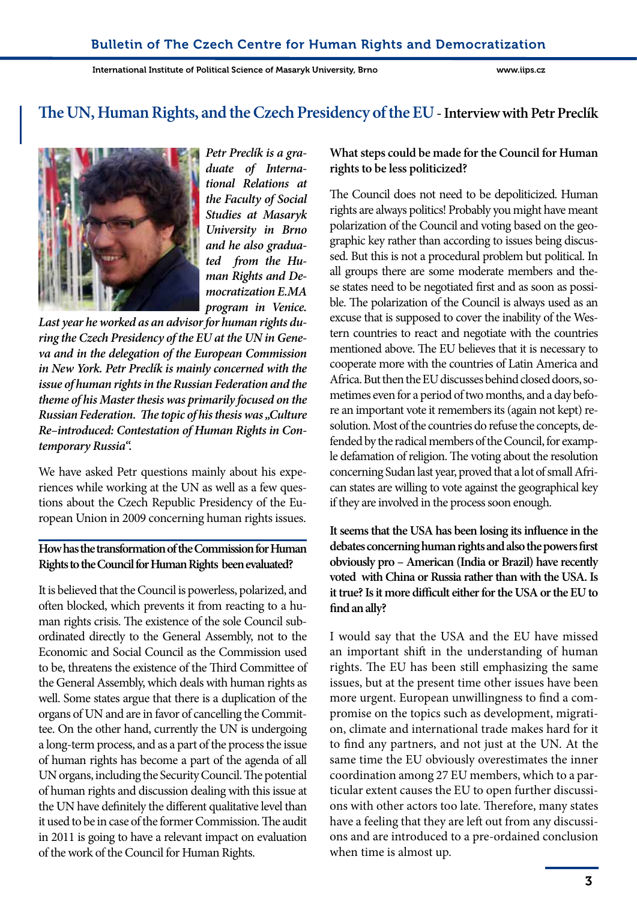### **The UN, Human Rights, and the Czech Presidency of the EU- Interview with Petr Preclík**



*Petr Preclík is a graduate of International Relations at the Faculty of Social Studies at Masaryk University in Brno and he also graduated from the Human Rights and Democratization E.MA program in Venice.* 

*Last year he worked as an advisor for human rights during the Czech Presidency of the EU at the UN in Geneva and in the delegation of the European Commission in New York. Petr Preclík is mainly concerned with the issue of human rights in the Russian Federation and the theme of his Master thesis was primarily focused on the Russian Federation. The topic of his thesis was "Culture Re–introduced: Contestation of Human Rights in Contemporary Russia".*

We have asked Petr questions mainly about his experiences while working at the UN as well as a few questions about the Czech Republic Presidency of the European Union in 2009 concerning human rights issues.

#### **How has the transformation of the Commission for Human Rights to the Council for Human Rights been evaluated?**

It is believed that the Council is powerless, polarized, and often blocked, which prevents it from reacting to a human rights crisis. The existence of the sole Council subordinated directly to the General Assembly, not to the Economic and Social Council as the Commission used to be, threatens the existence of the Third Committee of the General Assembly, which deals with human rights as well. Some states argue that there is a duplication of the organs of UN and are in favor of cancelling the Committee. On the other hand, currently the UN is undergoing a long-term process, and as a part of the process the issue of human rights has become a part of the agenda of all UN organs, including the Security Council. The potential of human rights and discussion dealing with this issue at the UN have definitely the different qualitative level than it used to be in case of the former Commission. The audit in 2011 is going to have a relevant impact on evaluation of the work of the Council for Human Rights.

#### **What steps could be made for the Council for Human rights to be less politicized?**

The Council does not need to be depoliticized. Human rights are always politics! Probably you might have meant polarization of the Council and voting based on the geographic key rather than according to issues being discussed. But this is not a procedural problem but political. In all groups there are some moderate members and these states need to be negotiated first and as soon as possible. The polarization of the Council is always used as an excuse that is supposed to cover the inability of the Western countries to react and negotiate with the countries mentioned above. The EU believes that it is necessary to cooperate more with the countries of Latin America and Africa. But then the EU discusses behind closed doors, sometimes even for a period of two months, and a day before an important vote it remembers its (again not kept) resolution. Most of the countries do refuse the concepts, defended by the radical members of the Council, for example defamation of religion. The voting about the resolution concerning Sudan last year, proved that a lot of small African states are willing to vote against the geographical key if they are involved in the process soon enough.

**It seems that the USA has been losing its influence in the debates concerning human rights and also the powers first obviously pro – American (India or Brazil) have recently voted with China or Russia rather than with the USA. Is it true? Is it more difficult either for the USA or the EU to find an ally?** 

I would say that the USA and the EU have missed an important shift in the understanding of human rights. The EU has been still emphasizing the same issues, but at the present time other issues have been more urgent. European unwillingness to find a compromise on the topics such as development, migration, climate and international trade makes hard for it to find any partners, and not just at the UN. At the same time the EU obviously overestimates the inner coordination among 27 EU members, which to a particular extent causes the EU to open further discussions with other actors too late. Therefore, many states have a feeling that they are left out from any discussions and are introduced to a pre-ordained conclusion when time is almost up.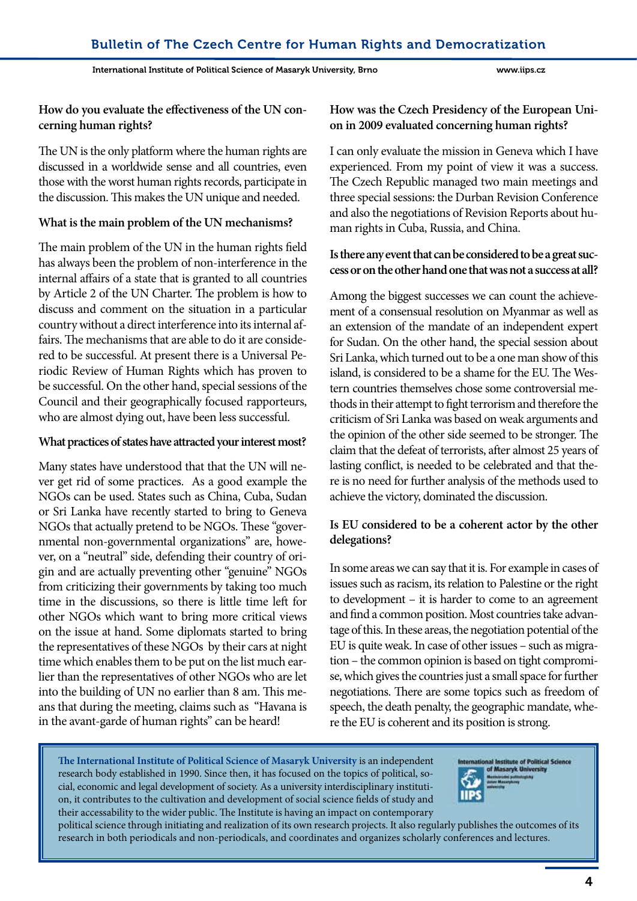#### **How do you evaluate the effectiveness of the UN concerning human rights?**

The UN is the only platform where the human rights are discussed in a worldwide sense and all countries, even those with the worst human rights records, participate in the discussion. This makes the UN unique and needed.

#### **What is the main problem of the UN mechanisms?**

The main problem of the UN in the human rights field has always been the problem of non-interference in the internal affairs of a state that is granted to all countries by Article 2 of the UN Charter. The problem is how to discuss and comment on the situation in a particular country without a direct interference into its internal affairs. The mechanisms that are able to do it are considered to be successful. At present there is a Universal Periodic Review of Human Rights which has proven to be successful. On the other hand, special sessions of the Council and their geographically focused rapporteurs, who are almost dying out, have been less successful.

#### **What practices of states have attracted your interest most?**

Many states have understood that that the UN will never get rid of some practices. As a good example the NGOs can be used. States such as China, Cuba, Sudan or Sri Lanka have recently started to bring to Geneva NGOs that actually pretend to be NGOs. These "governmental non-governmental organizations" are, however, on a "neutral" side, defending their country of origin and are actually preventing other "genuine" NGOs from criticizing their governments by taking too much time in the discussions, so there is little time left for other NGOs which want to bring more critical views on the issue at hand. Some diplomats started to bring the representatives of these NGOs by their cars at night time which enables them to be put on the list much earlier than the representatives of other NGOs who are let into the building of UN no earlier than 8 am. This means that during the meeting, claims such as "Havana is in the avant-garde of human rights" can be heard!

#### **How was the Czech Presidency of the European Union in 2009 evaluated concerning human rights?**

I can only evaluate the mission in Geneva which I have experienced. From my point of view it was a success. The Czech Republic managed two main meetings and three special sessions: the Durban Revision Conference and also the negotiations of Revision Reports about human rights in Cuba, Russia, and China.

#### **Is there any event that can be considered to be a great success or on the other hand one that was not a success at all?**

Among the biggest successes we can count the achievement of a consensual resolution on Myanmar as well as an extension of the mandate of an independent expert for Sudan. On the other hand, the special session about Sri Lanka, which turned out to be a one man show of this island, is considered to be a shame for the EU. The Western countries themselves chose some controversial methods in their attempt to fight terrorism and therefore the criticism of Sri Lanka was based on weak arguments and the opinion of the other side seemed to be stronger. The claim that the defeat of terrorists, after almost 25 years of lasting conflict, is needed to be celebrated and that there is no need for further analysis of the methods used to achieve the victory, dominated the discussion.

#### **Is EU considered to be a coherent actor by the other delegations?**

In some areas we can say that it is. For example in cases of issues such as racism, its relation to Palestine or the right to development – it is harder to come to an agreement and find a common position. Most countries take advantage of this. In these areas, the negotiation potential of the EU is quite weak. In case of other issues – such as migration – the common opinion is based on tight compromise, which gives the countries just a small space for further negotiations. There are some topics such as freedom of speech, the death penalty, the geographic mandate, where the EU is coherent and its position is strong.

**The International Institute of Political Science of Masaryk University** is an independent research body established in 1990. Since then, it has focused on the topics of political, social, economic and legal development of society. As a university interdisciplinary institution, it contributes to the cultivation and development of social science fields of study and their accessability to the wider public. The Institute is having an impact on contemporary



political science through initiating and realization of its own research projects. It also regularly publishes the outcomes of its research in both periodicals and non-periodicals, and coordinates and organizes scholarly conferences and lectures.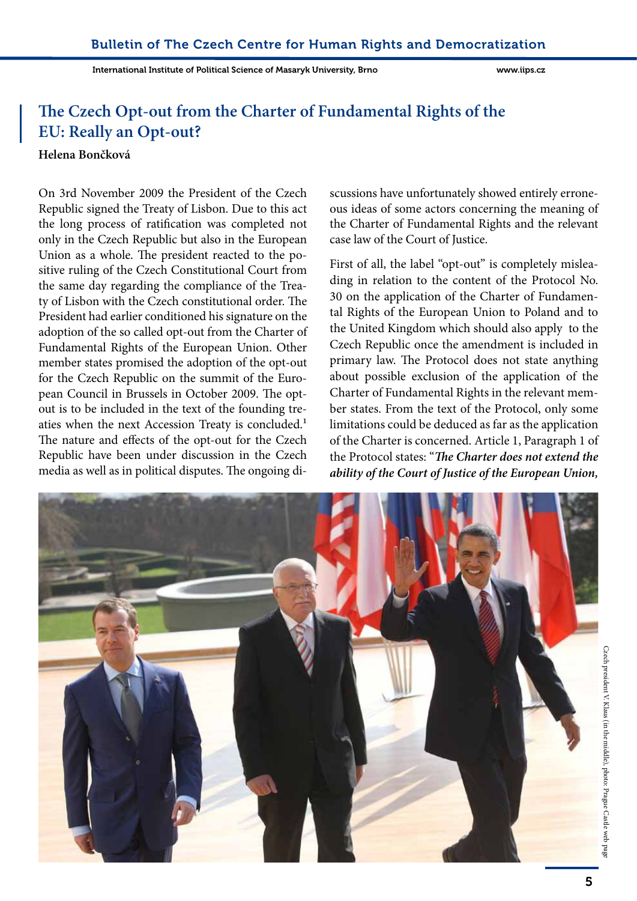# **The Czech Opt-out from the Charter of Fundamental Rights of the EU: Really an Opt-out?**

#### **Helena Bončková**

On 3rd November 2009 the President of the Czech Republic signed the Treaty of Lisbon. Due to this act the long process of ratification was completed not only in the Czech Republic but also in the European Union as a whole. The president reacted to the positive ruling of the Czech Constitutional Court from the same day regarding the compliance of the Treaty of Lisbon with the Czech constitutional order. The President had earlier conditioned his signature on the adoption of the so called opt-out from the Charter of Fundamental Rights of the European Union. Other member states promised the adoption of the opt-out for the Czech Republic on the summit of the European Council in Brussels in October 2009. The optout is to be included in the text of the founding treaties when the next Accession Treaty is concluded.<sup>1</sup> The nature and effects of the opt-out for the Czech Republic have been under discussion in the Czech media as well as in political disputes. The ongoing di-

scussions have unfortunately showed entirely erroneous ideas of some actors concerning the meaning of the Charter of Fundamental Rights and the relevant case law of the Court of Justice.

First of all, the label "opt-out" is completely misleading in relation to the content of the Protocol No. 30 on the application of the Charter of Fundamental Rights of the European Union to Poland and to the United Kingdom which should also apply to the Czech Republic once the amendment is included in primary law. The Protocol does not state anything about possible exclusion of the application of the Charter of Fundamental Rights in the relevant member states. From the text of the Protocol, only some limitations could be deduced as far as the application of the Charter is concerned. Article 1, Paragraph 1 of the Protocol states: "*The Charter does not extend the ability of the Court of Justice of the European Union,* 

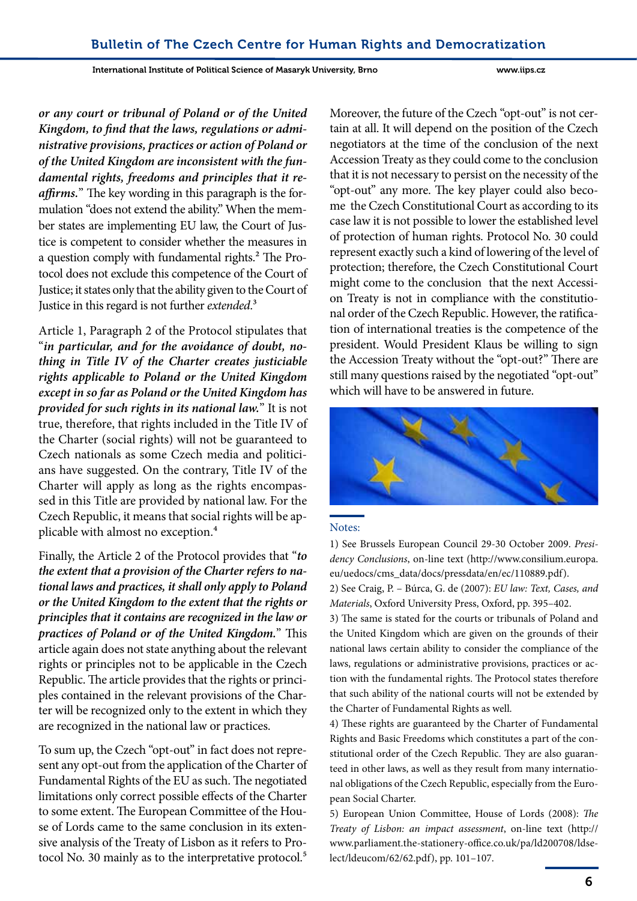International Institute of Political Science of Masaryk University, Brno www.iips.cz

*or any court or tribunal of Poland or of the United Kingdom, to find that the laws, regulations or administrative provisions, practices or action of Poland or of the United Kingdom are inconsistent with the fundamental rights, freedoms and principles that it reaffirms.*" The key wording in this paragraph is the formulation "does not extend the ability." When the member states are implementing EU law, the Court of Justice is competent to consider whether the measures in a question comply with fundamental rights.2 The Protocol does not exclude this competence of the Court of Justice; it states only that the ability given to the Court of Justice in this regard is not further *extended*.3

Article 1, Paragraph 2 of the Protocol stipulates that "*in particular, and for the avoidance of doubt, nothing in Title IV of the Charter creates justiciable rights applicable to Poland or the United Kingdom except in so far as Poland or the United Kingdom has provided for such rights in its national law.*" It is not true, therefore, that rights included in the Title IV of the Charter (social rights) will not be guaranteed to Czech nationals as some Czech media and politicians have suggested. On the contrary, Title IV of the Charter will apply as long as the rights encompassed in this Title are provided by national law. For the Czech Republic, it means that social rights will be applicable with almost no exception.4

Finally, the Article 2 of the Protocol provides that "*to the extent that a provision of the Charter refers to national laws and practices, it shall only apply to Poland or the United Kingdom to the extent that the rights or principles that it contains are recognized in the law or practices of Poland or of the United Kingdom.*" This article again does not state anything about the relevant rights or principles not to be applicable in the Czech Republic. The article provides that the rights or principles contained in the relevant provisions of the Charter will be recognized only to the extent in which they are recognized in the national law or practices.

To sum up, the Czech "opt-out" in fact does not represent any opt-out from the application of the Charter of Fundamental Rights of the EU as such. The negotiated limitations only correct possible effects of the Charter to some extent. The European Committee of the House of Lords came to the same conclusion in its extensive analysis of the Treaty of Lisbon as it refers to Protocol No. 30 mainly as to the interpretative protocol.<sup>5</sup>

Moreover, the future of the Czech "opt-out" is not certain at all. It will depend on the position of the Czech negotiators at the time of the conclusion of the next Accession Treaty as they could come to the conclusion that it is not necessary to persist on the necessity of the "opt-out" any more. The key player could also become the Czech Constitutional Court as according to its case law it is not possible to lower the established level of protection of human rights. Protocol No. 30 could represent exactly such a kind of lowering of the level of protection; therefore, the Czech Constitutional Court might come to the conclusion that the next Accession Treaty is not in compliance with the constitutional order of the Czech Republic. However, the ratification of international treaties is the competence of the president. Would President Klaus be willing to sign the Accession Treaty without the "opt-out?" There are still many questions raised by the negotiated "opt-out" which will have to be answered in future.



#### Notes:

1) See Brussels European Council 29-30 October 2009. *Presidency Conclusions*, on-line text (http://www.consilium.europa. eu/uedocs/cms\_data/docs/pressdata/en/ec/110889.pdf).

2) See Craig, P. – Búrca, G. de (2007): *EU law: Text, Cases, and Materials*, Oxford University Press, Oxford, pp. 395–402.

3) The same is stated for the courts or tribunals of Poland and the United Kingdom which are given on the grounds of their national laws certain ability to consider the compliance of the laws, regulations or administrative provisions, practices or action with the fundamental rights. The Protocol states therefore that such ability of the national courts will not be extended by the Charter of Fundamental Rights as well.

4) These rights are guaranteed by the Charter of Fundamental Rights and Basic Freedoms which constitutes a part of the constitutional order of the Czech Republic. They are also guaranteed in other laws, as well as they result from many international obligations of the Czech Republic, especially from the European Social Charter.

5) European Union Committee, House of Lords (2008): *The Treaty of Lisbon: an impact assessment*, on-line text (http:// www.parliament.the-stationery-office.co.uk/pa/ld200708/ldselect/ldeucom/62/62.pdf), pp. 101–107.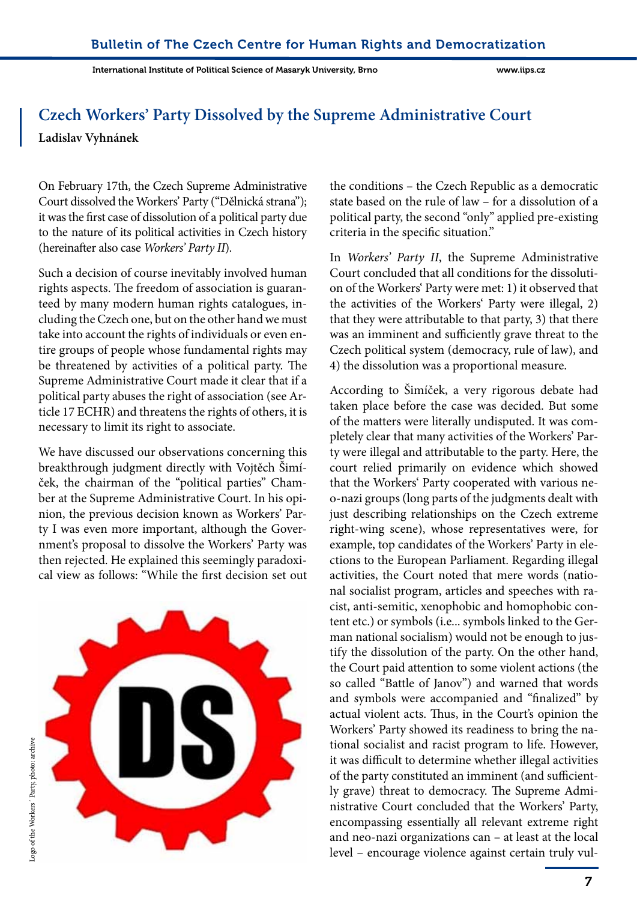# **Czech Workers' Party Dissolved by the Supreme Administrative Court**

**Ladislav Vyhnánek**

On February 17th, the Czech Supreme Administrative Court dissolved the Workers' Party ("Dělnická strana"); it was the first case of dissolution of a political party due to the nature of its political activities in Czech history (hereinafter also case *Workers' Party II*).

Such a decision of course inevitably involved human rights aspects. The freedom of association is guaranteed by many modern human rights catalogues, including the Czech one, but on the other hand we must take into account the rights of individuals or even entire groups of people whose fundamental rights may be threatened by activities of a political party. The Supreme Administrative Court made it clear that if a political party abuses the right of association (see Article 17 ECHR) and threatens the rights of others, it is necessary to limit its right to associate.

We have discussed our observations concerning this breakthrough judgment directly with Vojtěch Šimíček, the chairman of the "political parties" Chamber at the Supreme Administrative Court. In his opinion, the previous decision known as Workers' Party I was even more important, although the Government's proposal to dissolve the Workers' Party was then rejected. He explained this seemingly paradoxical view as follows: "While the first decision set out



the conditions – the Czech Republic as a democratic state based on the rule of law – for a dissolution of a political party, the second "only" applied pre-existing criteria in the specific situation."

In *Workers' Party II*, the Supreme Administrative Court concluded that all conditions for the dissolution of the Workers' Party were met: 1) it observed that the activities of the Workers' Party were illegal, 2) that they were attributable to that party, 3) that there was an imminent and sufficiently grave threat to the Czech political system (democracy, rule of law), and 4) the dissolution was a proportional measure.

According to Šimíček, a very rigorous debate had taken place before the case was decided. But some of the matters were literally undisputed. It was completely clear that many activities of the Workers' Party were illegal and attributable to the party. Here, the court relied primarily on evidence which showed that the Workers' Party cooperated with various neo-nazi groups (long parts of the judgments dealt with just describing relationships on the Czech extreme right-wing scene), whose representatives were, for example, top candidates of the Workers' Party in elections to the European Parliament. Regarding illegal activities, the Court noted that mere words (national socialist program, articles and speeches with racist, anti-semitic, xenophobic and homophobic content etc.) or symbols (i.e... symbols linked to the German national socialism) would not be enough to justify the dissolution of the party. On the other hand, the Court paid attention to some violent actions (the so called "Battle of Janov") and warned that words and symbols were accompanied and "finalized" by actual violent acts. Thus, in the Court's opinion the Workers' Party showed its readiness to bring the national socialist and racist program to life. However, it was difficult to determine whether illegal activities of the party constituted an imminent (and sufficiently grave) threat to democracy. The Supreme Administrative Court concluded that the Workers' Party, encompassing essentially all relevant extreme right and neo-nazi organizations can – at least at the local level – encourage violence against certain truly vul-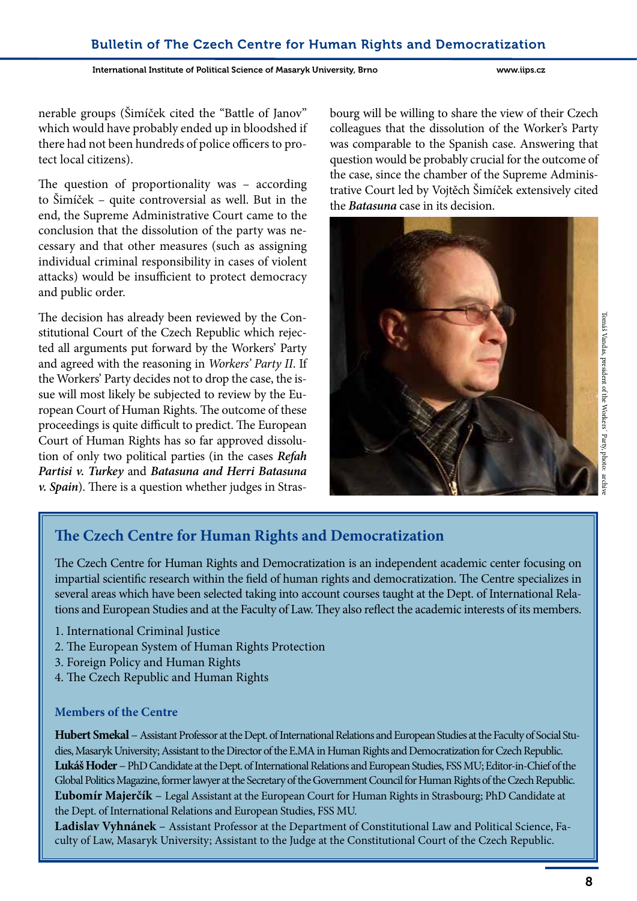International Institute of Political Science of Masaryk University, Brno www.iips.cz

nerable groups (Šimíček cited the "Battle of Janov" which would have probably ended up in bloodshed if there had not been hundreds of police officers to protect local citizens).

The question of proportionality was – according to Šimíček – quite controversial as well. But in the end, the Supreme Administrative Court came to the conclusion that the dissolution of the party was necessary and that other measures (such as assigning individual criminal responsibility in cases of violent attacks) would be insufficient to protect democracy and public order.

The decision has already been reviewed by the Constitutional Court of the Czech Republic which rejected all arguments put forward by the Workers' Party and agreed with the reasoning in *Workers' Party II*. If the Workers' Party decides not to drop the case, the issue will most likely be subjected to review by the European Court of Human Rights. The outcome of these proceedings is quite difficult to predict. The European Court of Human Rights has so far approved dissolution of only two political parties (in the cases *Refah Partisi v. Turkey* and *Batasuna and Herri Batasuna v. Spain*). There is a question whether judges in Strasbourg will be willing to share the view of their Czech colleagues that the dissolution of the Worker's Party was comparable to the Spanish case. Answering that question would be probably crucial for the outcome of the case, since the chamber of the Supreme Administrative Court led by Vojtěch Šimíček extensively cited the *Batasuna* case in its decision.



# **The Czech Centre for Human Rights and Democratization**

The Czech Centre for Human Rights and Democratization is an independent academic center focusing on impartial scientific research within the field of human rights and democratization. The Centre specializes in several areas which have been selected taking into account courses taught at the Dept. of International Relations and European Studies and at the Faculty of Law. They also reflect the academic interests of its members.

- 1. International Criminal Justice
- 2. The European System of Human Rights Protection
- 3. Foreign Policy and Human Rights
- 4. The Czech Republic and Human Rights

#### **Members of the Centre**

**Hubert Smekal** –Assistant Professor at the Dept. of International Relations and European Studies at the Faculty of Social Studies, Masaryk University; Assistant to the Director of the E.MA in Human Rights and Democratization for Czech Republic. **Lukáš Hoder**– PhD Candidate at the Dept. of International Relations and European Studies, FSS MU; Editor-in-Chief of the Global Politics Magazine, former lawyer at the Secretary of the Government Council for Human Rights of the Czech Republic. **Ľubomír Majerčík** – Legal Assistant at the European Court for Human Rights in Strasbourg; PhD Candidate at the Dept. of International Relations and European Studies, FSS MU.

**Ladislav Vyhnánek** – Assistant Professor at the Department of Constitutional Law and Political Science, Faculty of Law, Masaryk University; Assistant to the Judge at the Constitutional Court of the Czech Republic.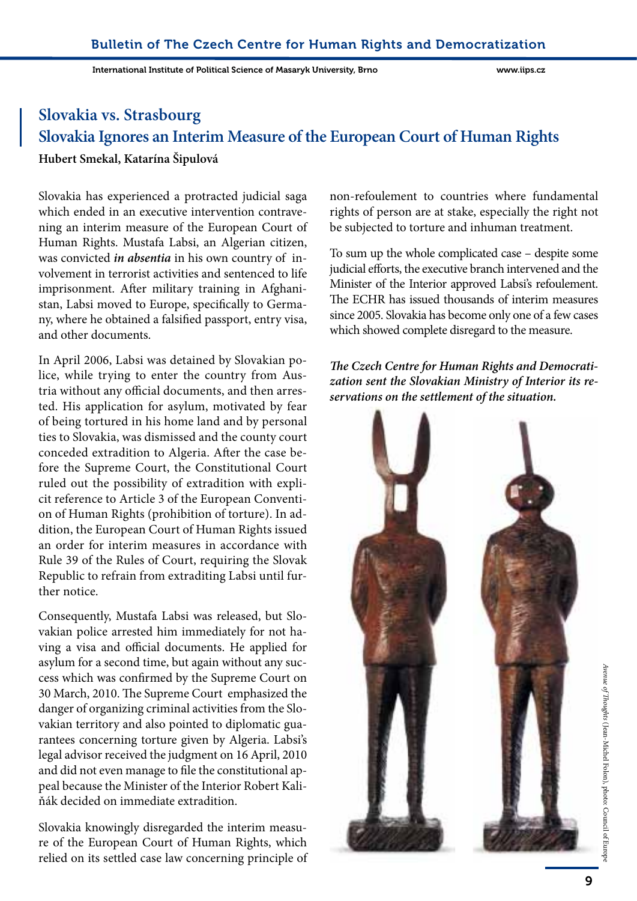# **Slovakia vs. Strasbourg Slovakia Ignores an Interim Measure of the European Court of Human Rights Hubert Smekal, Katarína Šipulová**

Slovakia has experienced a protracted judicial saga which ended in an executive intervention contravening an interim measure of the European Court of Human Rights. Mustafa Labsi, an Algerian citizen, was convicted *in absentia* in his own country of involvement in terrorist activities and sentenced to life imprisonment. After military training in Afghanistan, Labsi moved to Europe, specifically to Germany, where he obtained a falsified passport, entry visa, and other documents.

In April 2006, Labsi was detained by Slovakian police, while trying to enter the country from Austria without any official documents, and then arrested. His application for asylum, motivated by fear of being tortured in his home land and by personal ties to Slovakia, was dismissed and the county court conceded extradition to Algeria. After the case before the Supreme Court, the Constitutional Court ruled out the possibility of extradition with explicit reference to Article 3 of the European Convention of Human Rights (prohibition of torture). In addition, the European Court of Human Rights issued an order for interim measures in accordance with Rule 39 of the Rules of Court, requiring the Slovak Republic to refrain from extraditing Labsi until further notice.

Consequently, Mustafa Labsi was released, but Slovakian police arrested him immediately for not having a visa and official documents. He applied for asylum for a second time, but again without any success which was confirmed by the Supreme Court on 30 March, 2010. The Supreme Court emphasized the danger of organizing criminal activities from the Slovakian territory and also pointed to diplomatic guarantees concerning torture given by Algeria. Labsi's legal advisor received the judgment on 16 April, 2010 and did not even manage to file the constitutional appeal because the Minister of the Interior Robert Kaliňák decided on immediate extradition.

Slovakia knowingly disregarded the interim measure of the European Court of Human Rights, which relied on its settled case law concerning principle of non-refoulement to countries where fundamental rights of person are at stake, especially the right not be subjected to torture and inhuman treatment.

To sum up the whole complicated case – despite some judicial efforts, the executive branch intervened and the Minister of the Interior approved Labsi's refoulement. The ECHR has issued thousands of interim measures since 2005. Slovakia has become only one of a few cases which showed complete disregard to the measure.

*The Czech Centre for Human Rights and Democratization sent the Slovakian Ministry of Interior its reservations on the settlement of the situation.* 



*Avenue of Thoughts*

(Jean-Michel Folon), photo: Council of Europe

Avenue of Thoughts (Jean-Michel Folon), photo: Council of Europe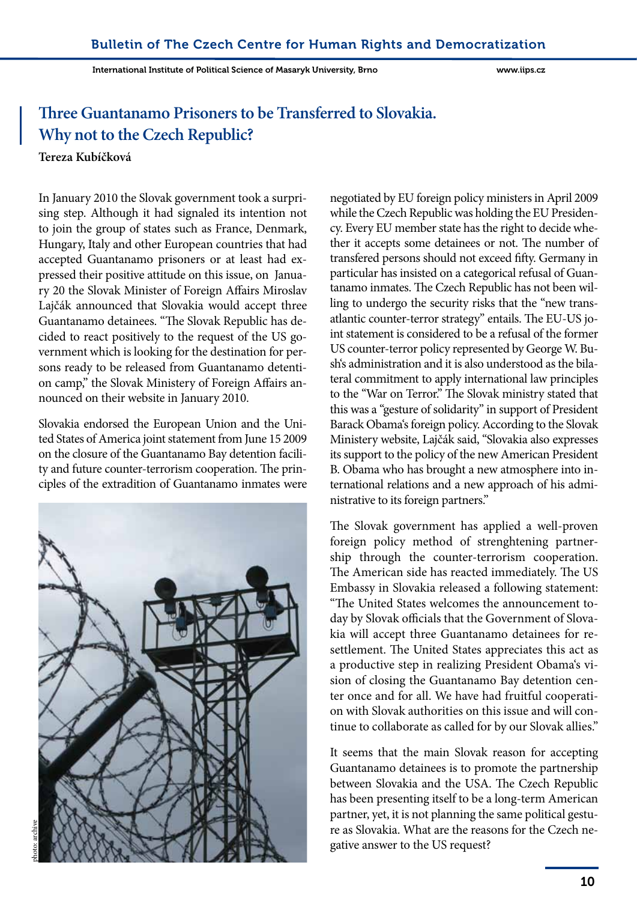# **Three Guantanamo Prisoners to be Transferred to Slovakia. Why not to the Czech Republic?**

#### **Tereza Kubíčková**

In January 2010 the Slovak government took a surprising step. Although it had signaled its intention not to join the group of states such as France, Denmark, Hungary, Italy and other European countries that had accepted Guantanamo prisoners or at least had expressed their positive attitude on this issue, on January 20 the Slovak Minister of Foreign Affairs Miroslav Lajčák announced that Slovakia would accept three Guantanamo detainees. "The Slovak Republic has decided to react positively to the request of the US government which is looking for the destination for persons ready to be released from Guantanamo detention camp," the Slovak Ministery of Foreign Affairs announced on their website in January 2010.

Slovakia endorsed the European Union and the United States of America joint statement from June 15 2009 on the closure of the Guantanamo Bay detention facility and future counter-terrorism cooperation. The principles of the extradition of Guantanamo inmates were



negotiated by EU foreign policy ministers in April 2009 while the Czech Republic was holding the EU Presidency. Every EU member state has the right to decide whether it accepts some detainees or not. The number of transfered persons should not exceed fifty. Germany in particular has insisted on a categorical refusal of Guantanamo inmates. The Czech Republic has not been willing to undergo the security risks that the "new transatlantic counter-terror strategy" entails. The EU-US joint statement is considered to be a refusal of the former US counter-terror policy represented by George W. Bush's administration and it is also understood as the bilateral commitment to apply international law principles to the "War on Terror." The Slovak ministry stated that this was a "gesture of solidarity" in support of President Barack Obama's foreign policy. According to the Slovak Ministery website, Lajčák said, "Slovakia also expresses its support to the policy of the new American President B. Obama who has brought a new atmosphere into international relations and a new approach of his administrative to its foreign partners."

The Slovak government has applied a well-proven foreign policy method of strenghtening partnership through the counter-terrorism cooperation. The American side has reacted immediately. The US Embassy in Slovakia released a following statement: "The United States welcomes the announcement today by Slovak officials that the Government of Slovakia will accept three Guantanamo detainees for resettlement. The United States appreciates this act as a productive step in realizing President Obama's vision of closing the Guantanamo Bay detention center once and for all. We have had fruitful cooperation with Slovak authorities on this issue and will continue to collaborate as called for by our Slovak allies."

It seems that the main Slovak reason for accepting Guantanamo detainees is to promote the partnership between Slovakia and the USA. The Czech Republic has been presenting itself to be a long-term American partner, yet, it is not planning the same political gesture as Slovakia. What are the reasons for the Czech negative answer to the US request?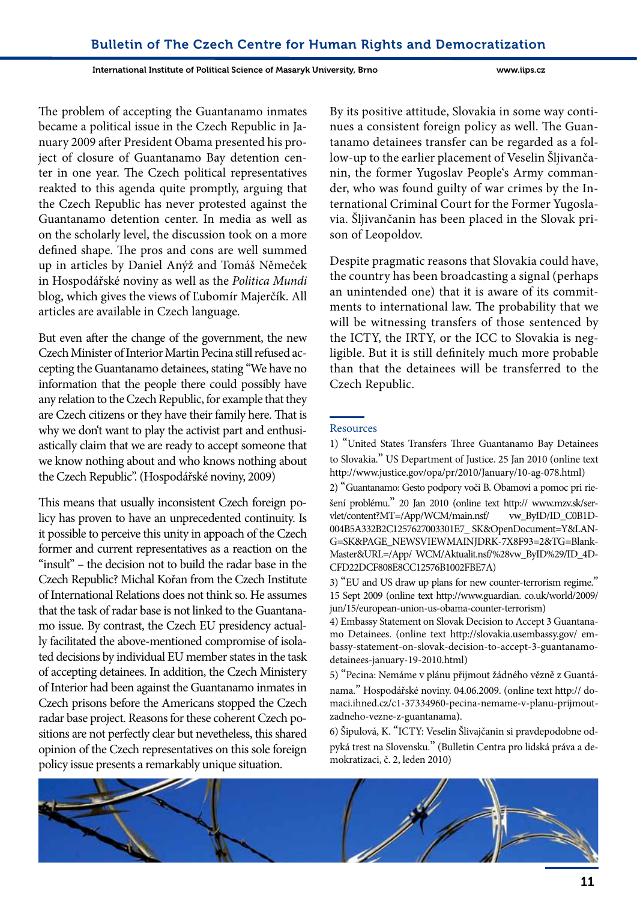International Institute of Political Science of Masaryk University, Brno www.iips.cz

The problem of accepting the Guantanamo inmates became a political issue in the Czech Republic in January 2009 after President Obama presented his project of closure of Guantanamo Bay detention center in one year. The Czech political representatives reakted to this agenda quite promptly, arguing that the Czech Republic has never protested against the Guantanamo detention center. In media as well as on the scholarly level, the discussion took on a more defined shape. The pros and cons are well summed up in articles by Daniel Anýž and Tomáš Němeček in Hospodářské noviny as well as the *Politica Mundi* blog, which gives the views of Ľubomír Majerčík. All articles are available in Czech language.

But even after the change of the government, the new Czech Minister of Interior Martin Pecina still refused accepting the Guantanamo detainees, stating "We have no information that the people there could possibly have any relation to the Czech Republic, for example that they are Czech citizens or they have their family here. That is why we don't want to play the activist part and enthusiastically claim that we are ready to accept someone that we know nothing about and who knows nothing about the Czech Republic". (Hospodářské noviny, 2009)

This means that usually inconsistent Czech foreign policy has proven to have an unprecedented continuity. Is it possible to perceive this unity in appoach of the Czech former and current representatives as a reaction on the "insult" – the decision not to build the radar base in the Czech Republic? Michal Kořan from the Czech Institute of International Relations does not think so. He assumes that the task of radar base is not linked to the Guantanamo issue. By contrast, the Czech EU presidency actually facilitated the above-mentioned compromise of isolated decisions by individual EU member states in the task of accepting detainees. In addition, the Czech Ministery of Interior had been against the Guantanamo inmates in Czech prisons before the Americans stopped the Czech radar base project. Reasons for these coherent Czech positions are not perfectly clear but nevetheless, this shared opinion of the Czech representatives on this sole foreign policy issue presents a remarkably unique situation.

By its positive attitude, Slovakia in some way continues a consistent foreign policy as well. The Guantanamo detainees transfer can be regarded as a follow-up to the earlier placement of Veselin Šljivančanin, the former Yugoslav People's Army commander, who was found guilty of war crimes by the International Criminal Court for the Former Yugoslavia. Šljivančanin has been placed in the Slovak prison of Leopoldov.

Despite pragmatic reasons that Slovakia could have, the country has been broadcasting a signal (perhaps an unintended one) that it is aware of its commitments to international law. The probability that we will be witnessing transfers of those sentenced by the ICTY, the IRTY, or the ICC to Slovakia is negligible. But it is still definitely much more probable than that the detainees will be transferred to the Czech Republic.

#### Resources

1) "United States Transfers Three Guantanamo Bay Detainees to Slovakia." US Department of Justice. 25 Jan 2010 (online text http://www.justice.gov/opa/pr/2010/January/10-ag-078.html)

2) "Guantanamo: Gesto podpory voči B. Obamovi a pomoc pri riešení problému." 20 Jan 2010 (online text http:// www.mzv.sk/servlet/content?MT=/App/WCM/main.nsf/ vw\_ByID/ID\_C0B1D-004B5A332B2C1257627003301E7\_ SK&OpenDocument=Y&LAN-G=SK&PAGE\_NEWSVIEWMAINJDRK-7X8F93=2&TG=Blank-Master&URL=/App/ WCM/Aktualit.nsf/%28vw\_ByID%29/ID\_4D-CFD22DCF808E8CC12576B1002FBE7A)

3) "EU and US draw up plans for new counter-terrorism regime." 15 Sept 2009 (online text http://www.guardian. co.uk/world/2009/ jun/15/european-union-us-obama-counter-terrorism)

4) Embassy Statement on Slovak Decision to Accept 3 Guantanamo Detainees. (online text http://slovakia.usembassy.gov/ embassy-statement-on-slovak-decision-to-accept-3-guantanamodetainees-january-19-2010.html)

5) "Pecina: Nemáme v plánu přijmout žádného vězně z Guantánama." Hospodářské noviny. 04.06.2009. (online text http:// domaci.ihned.cz/c1-37334960-pecina-nemame-v-planu-prijmoutzadneho-vezne-z-guantanama).

6) Šipulová, K. "ICTY: Veselin Šlivajčanin si pravdepodobne odpyká trest na Slovensku." (Bulletin Centra pro lidská práva a demokratizaci, č. 2, leden 2010)

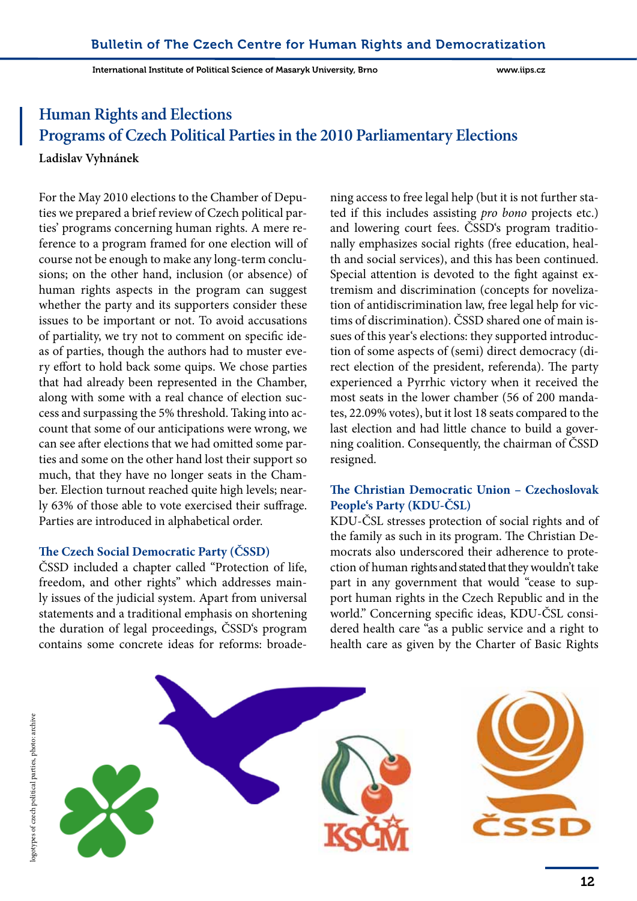# **Human Rights and Elections Programs of Czech Political Parties in the 2010 Parliamentary Elections**

**Ladislav Vyhnánek**

For the May 2010 elections to the Chamber of Deputies we prepared a brief review of Czech political parties' programs concerning human rights. A mere reference to a program framed for one election will of course not be enough to make any long-term conclusions; on the other hand, inclusion (or absence) of human rights aspects in the program can suggest whether the party and its supporters consider these issues to be important or not. To avoid accusations of partiality, we try not to comment on specific ideas of parties, though the authors had to muster every effort to hold back some quips. We chose parties that had already been represented in the Chamber, along with some with a real chance of election success and surpassing the 5% threshold. Taking into account that some of our anticipations were wrong, we can see after elections that we had omitted some parties and some on the other hand lost their support so much, that they have no longer seats in the Chamber. Election turnout reached quite high levels; nearly 63% of those able to vote exercised their suffrage. Parties are introduced in alphabetical order.

#### **The Czech Social Democratic Party (ČSSD)**

ČSSD included a chapter called "Protection of life, freedom, and other rights" which addresses mainly issues of the judicial system. Apart from universal statements and a traditional emphasis on shortening the duration of legal proceedings, ČSSD's program contains some concrete ideas for reforms: broadening access to free legal help (but it is not further stated if this includes assisting *pro bono* projects etc.) and lowering court fees. ČSSD's program traditionally emphasizes social rights (free education, health and social services), and this has been continued. Special attention is devoted to the fight against extremism and discrimination (concepts for novelization of antidiscrimination law, free legal help for victims of discrimination). ČSSD shared one of main issues of this year's elections: they supported introduction of some aspects of (semi) direct democracy (direct election of the president, referenda). The party experienced a Pyrrhic victory when it received the most seats in the lower chamber (56 of 200 mandates, 22.09% votes), but it lost 18 seats compared to the last election and had little chance to build a governing coalition. Consequently, the chairman of ČSSD resigned.

#### **The Christian Democratic Union – Czechoslovak People's Party (KDU-ČSL)**

KDU-ČSL stresses protection of social rights and of the family as such in its program. The Christian Democrats also underscored their adherence to protection of human rights and stated that they wouldn't take part in any government that would "cease to support human rights in the Czech Republic and in the world." Concerning specific ideas, KDU-ČSL considered health care "as a public service and a right to health care as given by the Charter of Basic Rights

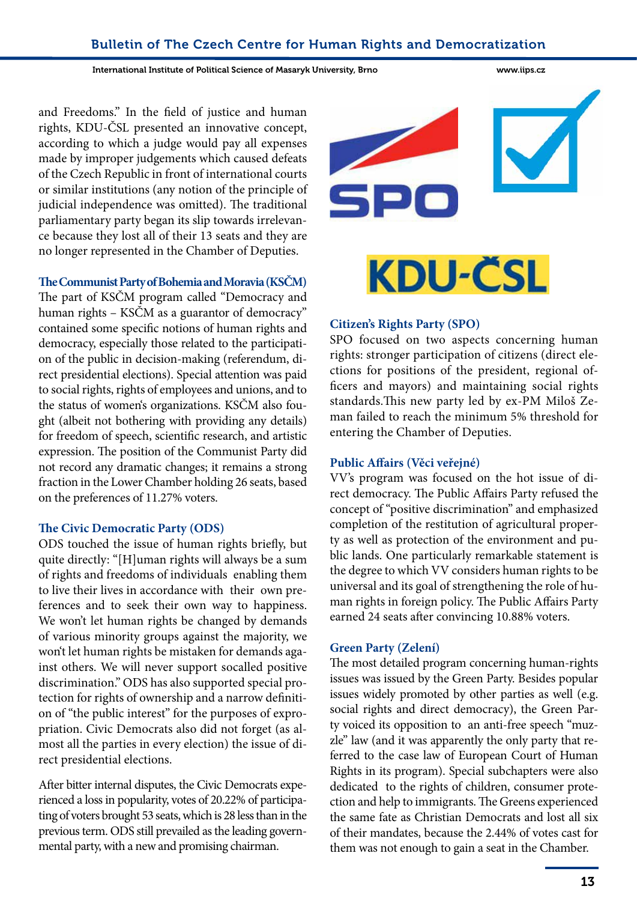International Institute of Political Science of Masaryk University, Brno www.iips.cz

and Freedoms." In the field of justice and human rights, KDU-ČSL presented an innovative concept, according to which a judge would pay all expenses made by improper judgements which caused defeats of the Czech Republic in front of international courts or similar institutions (any notion of the principle of judicial independence was omitted). The traditional parliamentary party began its slip towards irrelevance because they lost all of their 13 seats and they are no longer represented in the Chamber of Deputies.

#### **The Communist Party of Bohemia and Moravia (KSČM)**

The part of KSČM program called "Democracy and human rights – KSČM as a guarantor of democracy" contained some specific notions of human rights and democracy, especially those related to the participation of the public in decision-making (referendum, direct presidential elections). Special attention was paid to social rights, rights of employees and unions, and to the status of women's organizations. KSČM also fought (albeit not bothering with providing any details) for freedom of speech, scientific research, and artistic expression. The position of the Communist Party did not record any dramatic changes; it remains a strong fraction in the Lower Chamber holding 26 seats, based on the preferences of 11.27% voters.

#### **The Civic Democratic Party (ODS)**

ODS touched the issue of human rights briefly, but quite directly: "[H]uman rights will always be a sum of rights and freedoms of individuals enabling them to live their lives in accordance with their own preferences and to seek their own way to happiness. We won't let human rights be changed by demands of various minority groups against the majority, we won't let human rights be mistaken for demands against others. We will never support socalled positive discrimination." ODS has also supported special protection for rights of ownership and a narrow definition of "the public interest" for the purposes of expropriation. Civic Democrats also did not forget (as almost all the parties in every election) the issue of direct presidential elections.

After bitter internal disputes, the Civic Democrats experienced a loss in popularity, votes of 20.22% of participating of voters brought 53 seats, which is 28 less than in the previous term. ODS still prevailed as the leading governmental party, with a new and promising chairman.





#### **Citizen's Rights Party (SPO)**

SPO focused on two aspects concerning human rights: stronger participation of citizens (direct elections for positions of the president, regional officers and mayors) and maintaining social rights standards.This new party led by ex-PM Miloš Zeman failed to reach the minimum 5% threshold for entering the Chamber of Deputies.

#### **Public Affairs (Věci veřejné)**

VV's program was focused on the hot issue of direct democracy. The Public Affairs Party refused the concept of "positive discrimination" and emphasized completion of the restitution of agricultural property as well as protection of the environment and public lands. One particularly remarkable statement is the degree to which VV considers human rights to be universal and its goal of strengthening the role of human rights in foreign policy. The Public Affairs Party earned 24 seats after convincing 10.88% voters.

#### **Green Party (Zelení)**

The most detailed program concerning human-rights issues was issued by the Green Party. Besides popular issues widely promoted by other parties as well (e.g. social rights and direct democracy), the Green Party voiced its opposition to an anti-free speech "muzzle" law (and it was apparently the only party that referred to the case law of European Court of Human Rights in its program). Special subchapters were also dedicated to the rights of children, consumer protection and help to immigrants. The Greens experienced the same fate as Christian Democrats and lost all six of their mandates, because the 2.44% of votes cast for them was not enough to gain a seat in the Chamber.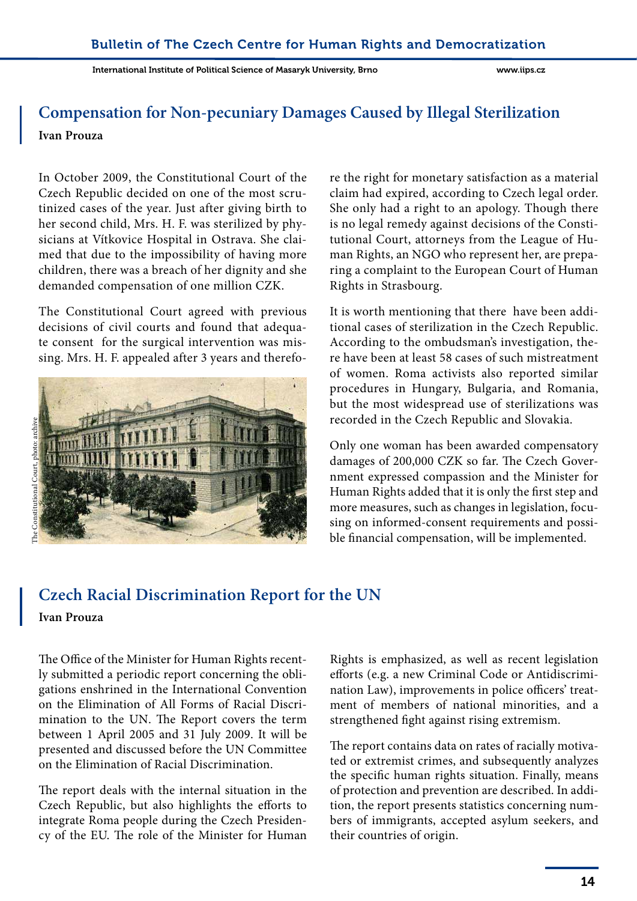# **Compensation for Non-pecuniary Damages Caused by Illegal Sterilization Ivan Prouza**

In October 2009, the Constitutional Court of the Czech Republic decided on one of the most scrutinized cases of the year. Just after giving birth to her second child, Mrs. H. F. was sterilized by physicians at Vítkovice Hospital in Ostrava. She claimed that due to the impossibility of having more children, there was a breach of her dignity and she demanded compensation of one million CZK.

The Constitutional Court agreed with previous decisions of civil courts and found that adequate consent for the surgical intervention was missing. Mrs. H. F. appealed after 3 years and therefo-



re the right for monetary satisfaction as a material claim had expired, according to Czech legal order. She only had a right to an apology. Though there is no legal remedy against decisions of the Constitutional Court, attorneys from the League of Human Rights, an NGO who represent her, are preparing a complaint to the European Court of Human Rights in Strasbourg.

It is worth mentioning that there have been additional cases of sterilization in the Czech Republic. According to the ombudsman's investigation, there have been at least 58 cases of such mistreatment of women. Roma activists also reported similar procedures in Hungary, Bulgaria, and Romania, but the most widespread use of sterilizations was recorded in the Czech Republic and Slovakia.

Only one woman has been awarded compensatory damages of 200,000 CZK so far. The Czech Government expressed compassion and the Minister for Human Rights added that it is only the first step and more measures, such as changes in legislation, focusing on informed-consent requirements and possible financial compensation, will be implemented.

# **Czech Racial Discrimination Report for the UN**

#### **Ivan Prouza**

The Office of the Minister for Human Rights recently submitted a periodic report concerning the obligations enshrined in the International Convention on the Elimination of All Forms of Racial Discrimination to the UN. The Report covers the term between 1 April 2005 and 31 July 2009. It will be presented and discussed before the UN Committee on the Elimination of Racial Discrimination.

The report deals with the internal situation in the Czech Republic, but also highlights the efforts to integrate Roma people during the Czech Presidency of the EU. The role of the Minister for Human Rights is emphasized, as well as recent legislation efforts (e.g. a new Criminal Code or Antidiscrimination Law), improvements in police officers' treatment of members of national minorities, and a strengthened fight against rising extremism.

The report contains data on rates of racially motivated or extremist crimes, and subsequently analyzes the specific human rights situation. Finally, means of protection and prevention are described. In addition, the report presents statistics concerning numbers of immigrants, accepted asylum seekers, and their countries of origin.